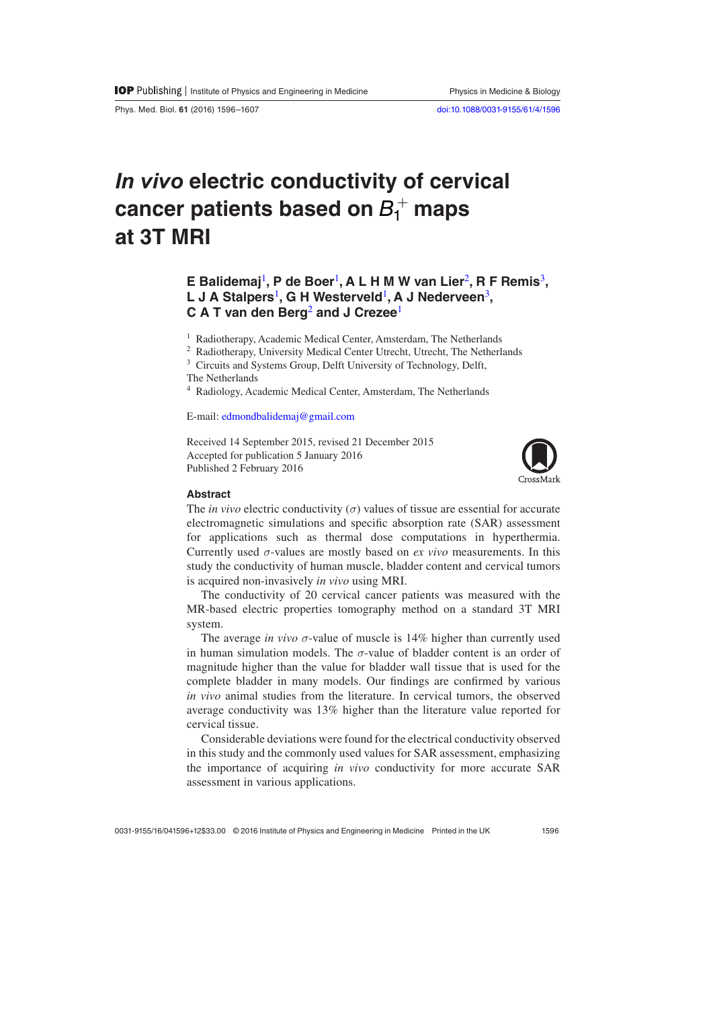Phys. Med. Biol. **61** (2016) 1596–1607 [doi:10.1088/0031-9155/61/4/1596](http://dx.doi.org/10.1088/0031-9155/61/4/1596)

# *In vivo* **electric conductivity of cervical cancer patients based on**  $B_1^+$  **maps at 3T MRI**

## **E Balidemaj**[1](#page-0-0)**, P de Boer**[1](#page-0-0)**, A L H M W van Lier**[2](#page-0-1)**, R F Remis**[3](#page-0-2)**, L J A Stalpers**[1](#page-0-0)**, G H Westerveld**[1](#page-0-0)**, A J Nederveen**[3](#page-0-2)**, C A T van den Berg**[2](#page-0-1) **and J Crezee**[1](#page-0-0)

<span id="page-0-1"></span><span id="page-0-0"></span><sup>1</sup> Radiotherapy, Academic Medical Center, Amsterdam, The Netherlands

<sup>2</sup> Radiotherapy, University Medical Center Utrecht, Utrecht, The Netherlands

<span id="page-0-2"></span><sup>3</sup> Circuits and Systems Group, Delft University of Technology, Delft,

The Netherlands

<sup>4</sup> Radiology, Academic Medical Center, Amsterdam, The Netherlands

E-mail: [edmondbalidemaj@gmail.com](mailto:edmondbalidemaj@gmail.com)

Received 14 September 2015, revised 21 December 2015 Accepted for publication 5 January 2016 Published 2 February 2016



#### **Abstract**

The *in vivo* electric conductivity  $(\sigma)$  values of tissue are essential for accurate electromagnetic simulations and specific absorption rate (SAR) assessment for applications such as thermal dose computations in hyperthermia. Currently used *σ*-values are mostly based on *ex vivo* measurements. In this study the conductivity of human muscle, bladder content and cervical tumors is acquired non-invasively *in vivo* using MRI.

The conductivity of 20 cervical cancer patients was measured with the MR-based electric properties tomography method on a standard 3T MRI system.

The average *in vivo*  $\sigma$ -value of muscle is 14% higher than currently used in human simulation models. The  $\sigma$ -value of bladder content is an order of magnitude higher than the value for bladder wall tissue that is used for the complete bladder in many models. Our findings are confirmed by various *in vivo* animal studies from the literature. In cervical tumors, the observed average conductivity was 13% higher than the literature value reported for cervical tissue.

Considerable deviations were found for the electrical conductivity observed in this study and the commonly used values for SAR assessment, emphasizing the importance of acquiring *in vivo* conductivity for more accurate SAR assessment in various applications.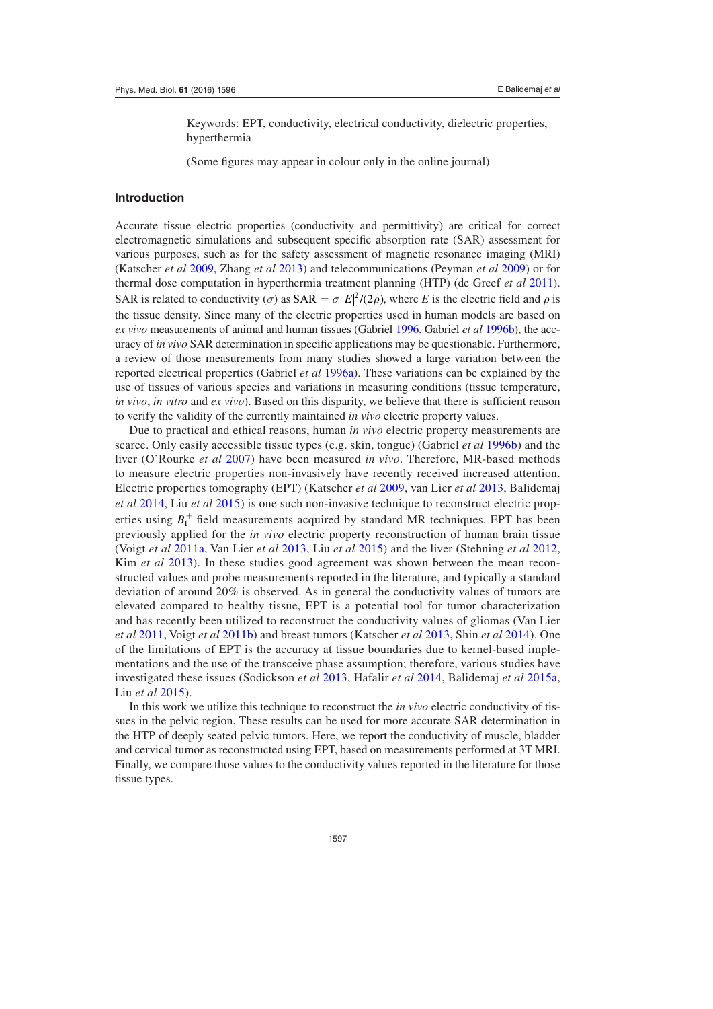Keywords: EPT, conductivity, electrical conductivity, dielectric properties, hyperthermia

(Some figures may appear in colour only in the online journal)

## **Introduction**

Accurate tissue electric properties (conductivity and permittivity) are critical for correct electromagnetic simulations and subsequent specific absorption rate (SAR) assessment for various purposes, such as for the safety assessment of magnetic resonance imaging (MRI) (Katscher *et al* [2009](#page-10-0), Zhang *et al* [2013](#page-10-1)) and telecommunications (Peyman *et al* [2009\)](#page-10-2) or for thermal dose computation in hyperthermia treatment planning (HTP) (de Greef *et al* [2011](#page-9-0)). SAR is related to conductivity  $(\sigma)$  as SAR =  $\sigma$   $|E|^2/(2\rho)$ , where *E* is the electric field and  $\rho$  is the tissue density. Since many of the electric properties used in human models are based on *ex vivo* measurements of animal and human tissues (Gabriel [1996,](#page-9-1) Gabriel *et al* [1996b\)](#page-9-2), the accuracy of *in vivo* SAR determination in specific applications may be questionable. Furthermore, a review of those measurements from many studies showed a large variation between the reported electrical properties (Gabriel *et al* [1996a](#page-9-3)). These variations can be explained by the use of tissues of various species and variations in measuring conditions (tissue temperature, *in vivo*, *in vitro* and *ex vivo*). Based on this disparity, we believe that there is sufficient reason to verify the validity of the currently maintained *in vivo* electric property values.

Due to practical and ethical reasons, human *in vivo* electric property measurements are scarce. Only easily accessible tissue types (e.g. skin, tongue) (Gabriel *et al* [1996b](#page-9-2)) and the liver (O'Rourke *et al* [2007](#page-10-3)) have been measured *in vivo*. Therefore, MR-based methods to measure electric properties non-invasively have recently received increased attention. Electric properties tomography (EPT) (Katscher *et al* [2009,](#page-10-0) van Lier *et al* [2013,](#page-11-1) Balidemaj *et al* [2014](#page-9-4), Liu *et al* [2015\)](#page-10-4) is one such non-invasive technique to reconstruct electric properties using  $B_1^+$  field measurements acquired by standard MR techniques. EPT has been previously applied for the *in vivo* electric property reconstruction of human brain tissue (Voigt *et al* [2011a,](#page-11-2) Van Lier *et al* [2013](#page-11-1), Liu *et al* [2015](#page-10-4)) and the liver (Stehning *et al* [2012,](#page-10-5) Kim *et al* [2013](#page-10-6)). In these studies good agreement was shown between the mean reconstructed values and probe measurements reported in the literature, and typically a standard deviation of around 20% is observed. As in general the conductivity values of tumors are elevated compared to healthy tissue, EPT is a potential tool for tumor characterization and has recently been utilized to reconstruct the conductivity values of gliomas (Van Lier *et al* [2011,](#page-11-3) Voigt *et al* [2011b\)](#page-11-4) and breast tumors (Katscher *et al* [2013,](#page-10-7) Shin *et al* [2014\)](#page-10-8). One of the limitations of EPT is the accuracy at tissue boundaries due to kernel-based implementations and the use of the transceive phase assumption; therefore, various studies have investigated these issues (Sodickson *et al* [2013](#page-10-9), Hafalir *et al* [2014,](#page-9-5) Balidemaj *et al* [2015a,](#page-9-6) Liu *et al* [2015](#page-10-4)).

In this work we utilize this technique to reconstruct the *in vivo* electric conductivity of tissues in the pelvic region. These results can be used for more accurate SAR determination in the HTP of deeply seated pelvic tumors. Here, we report the conductivity of muscle, bladder and cervical tumor as reconstructed using EPT, based on measurements performed at 3T MRI. Finally, we compare those values to the conductivity values reported in the literature for those tissue types.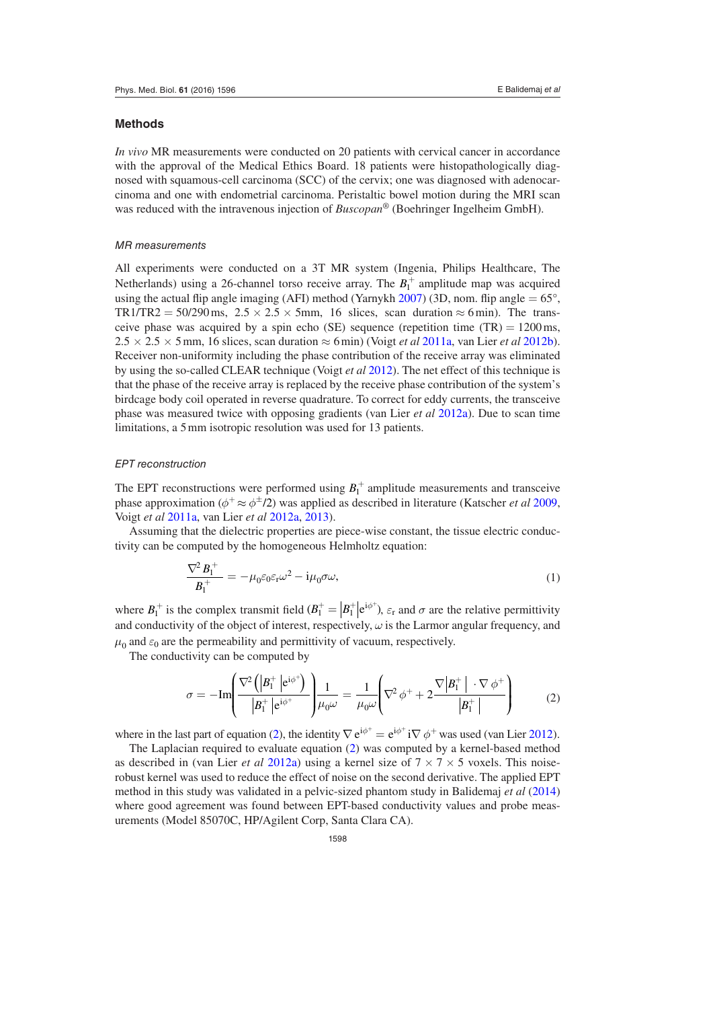### **Methods**

*In vivo* MR measurements were conducted on 20 patients with cervical cancer in accordance with the approval of the Medical Ethics Board. 18 patients were histopathologically diagnosed with squamous-cell carcinoma (SCC) of the cervix; one was diagnosed with adenocarcinoma and one with endometrial carcinoma. Peristaltic bowel motion during the MRI scan was reduced with the intravenous injection of *Buscopan*® (Boehringer Ingelheim GmbH).

## *MR measurements*

All experiments were conducted on a 3T MR system (Ingenia, Philips Healthcare, The Netherlands) using a 26-channel torso receive array. The  $B_1^+$  amplitude map was acquired using the actual flip angle imaging (AFI) method (Yarnykh [2007\)](#page-11-5) (3D, nom. flip angle  $= 65^{\circ}$ , TR1/TR2 = 50/290 ms,  $2.5 \times 2.5 \times 5$  mm, 16 slices, scan duration  $\approx 6$  min). The transceive phase was acquired by a spin echo (SE) sequence (repetition time  $(TR) = 1200 \text{ ms}$ ,  $2.5 \times 2.5 \times 5$  mm, 16 slices, scan duration  $\approx 6$  min) (Voigt *et al* [2011a](#page-11-2), van Lier *et al* [2012b](#page-11-6)). Receiver non-uniformity including the phase contribution of the receive array was eliminated by using the so-called CLEAR technique (Voigt *et al* [2012\)](#page-10-5). The net effect of this technique is that the phase of the receive array is replaced by the receive phase contribution of the system's birdcage body coil operated in reverse quadrature. To correct for eddy currents, the transceive phase was measured twice with opposing gradients (van Lier *et al* [2012a\)](#page-11-7). Due to scan time limitations, a 5mm isotropic resolution was used for 13 patients.

## *EPT reconstruction*

The EPT reconstructions were performed using  $B_1^+$  amplitude measurements and transceive phase approximation ( $\phi^+ \approx \phi^{\pm}/2$ ) was applied as described in literature (Katscher *et al* [2009,](#page-10-0) Voigt *et al* [2011a](#page-11-2), van Lier *et al* [2012a,](#page-11-7) [2013\)](#page-11-1).

Assuming that the dielectric properties are piece-wise constant, the tissue electric conductivity can be computed by the homogeneous Helmholtz equation:

$$
\frac{\nabla^2 B_1^+}{B_1^+} = -\mu_0 \varepsilon_0 \varepsilon_r \omega^2 - i\mu_0 \sigma \omega,\tag{1}
$$

where  $B_1^+$  is the complex transmit field  $(B_1^+ = |B_1^+|e^{i\phi^+})$ ,  $\varepsilon_r$  and  $\sigma$  are the relative permittivity and conductivity of the object of interest, respectively,  $\omega$  is the Larmor angular frequency, and  $\mu_0$  and  $\varepsilon_0$  are the permeability and permittivity of vacuum, respectively.

The conductivity can be computed by

<span id="page-2-0"></span>
$$
\sigma = -\mathrm{Im}\!\left(\frac{\nabla^2\left(\left|B_1^+\right|e^{i\phi^+}\right)}{\left|B_1^+\right|e^{i\phi^+}}\right)\!\frac{1}{\mu_0\omega} = \frac{1}{\mu_0\omega}\!\left(\nabla^2\,\phi^+ + 2\frac{\nabla\left|B_1^+\right|\cdot\nabla\,\phi^+}{\left|B_1^+\right|}\right) \tag{2}
$$

where in the last part of equation [\(2\)](#page-2-0), the identity  $\nabla e^{i\phi^+} = e^{i\phi^+} i\nabla \phi^+$  was used (van Lier [2012\)](#page-11-8).

The Laplacian required to evaluate equation [\(2](#page-2-0)) was computed by a kernel-based method as described in (van Lier *et al* [2012a](#page-11-7)) using a kernel size of  $7 \times 7 \times 5$  voxels. This noiserobust kernel was used to reduce the effect of noise on the second derivative. The applied EPT method in this study was validated in a pelvic-sized phantom study in Balidemaj *et al* ([2014\)](#page-9-4) where good agreement was found between EPT-based conductivity values and probe measurements (Model 85070C, HP/Agilent Corp, Santa Clara CA).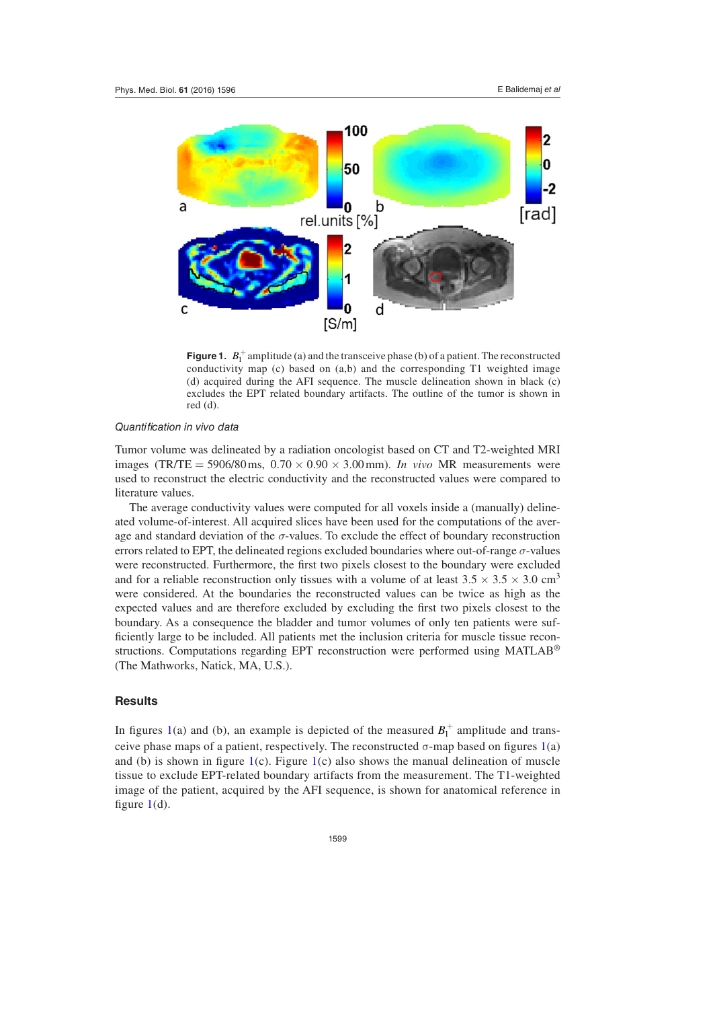<span id="page-3-0"></span>

**Figure 1.**  $B_1^+$  amplitude (a) and the transceive phase (b) of a patient. The reconstructed conductivity map (c) based on  $(a,b)$  and the corresponding T1 weighted image (d) acquired during the AFI sequence. The muscle delineation shown in black (c) excludes the EPT related boundary artifacts. The outline of the tumor is shown in red (d).

## *Quantification in vivo data*

Tumor volume was delineated by a radiation oncologist based on CT and T2-weighted MRI images (TR/TE = 5906/80 ms,  $0.70 \times 0.90 \times 3.00$  mm). *In vivo* MR measurements were used to reconstruct the electric conductivity and the reconstructed values were compared to literature values.

The average conductivity values were computed for all voxels inside a (manually) delineated volume-of-interest. All acquired slices have been used for the computations of the average and standard deviation of the *σ*-values. To exclude the effect of boundary reconstruction errors related to EPT, the delineated regions excluded boundaries where out-of-range *σ*-values were reconstructed. Furthermore, the first two pixels closest to the boundary were excluded and for a reliable reconstruction only tissues with a volume of at least  $3.5 \times 3.5 \times 3.0$  cm<sup>3</sup> were considered. At the boundaries the reconstructed values can be twice as high as the expected values and are therefore excluded by excluding the first two pixels closest to the boundary. As a consequence the bladder and tumor volumes of only ten patients were sufficiently large to be included. All patients met the inclusion criteria for muscle tissue reconstructions. Computations regarding EPT reconstruction were performed using MATLAB® (The Mathworks, Natick, MA, U.S.).

## **Results**

In figures [1](#page-3-0)(a) and (b), an example is depicted of the measured  $B_1^+$  amplitude and trans-ceive phase maps of a patient, respectively. The reconstructed σ-map based on figures [1\(](#page-3-0)a) and (b) is shown in figure  $1(c)$  $1(c)$ . Figure [1](#page-3-0)(c) also shows the manual delineation of muscle tissue to exclude EPT-related boundary artifacts from the measurement. The T1-weighted image of the patient, acquired by the AFI sequence, is shown for anatomical reference in figure  $1(d)$  $1(d)$ .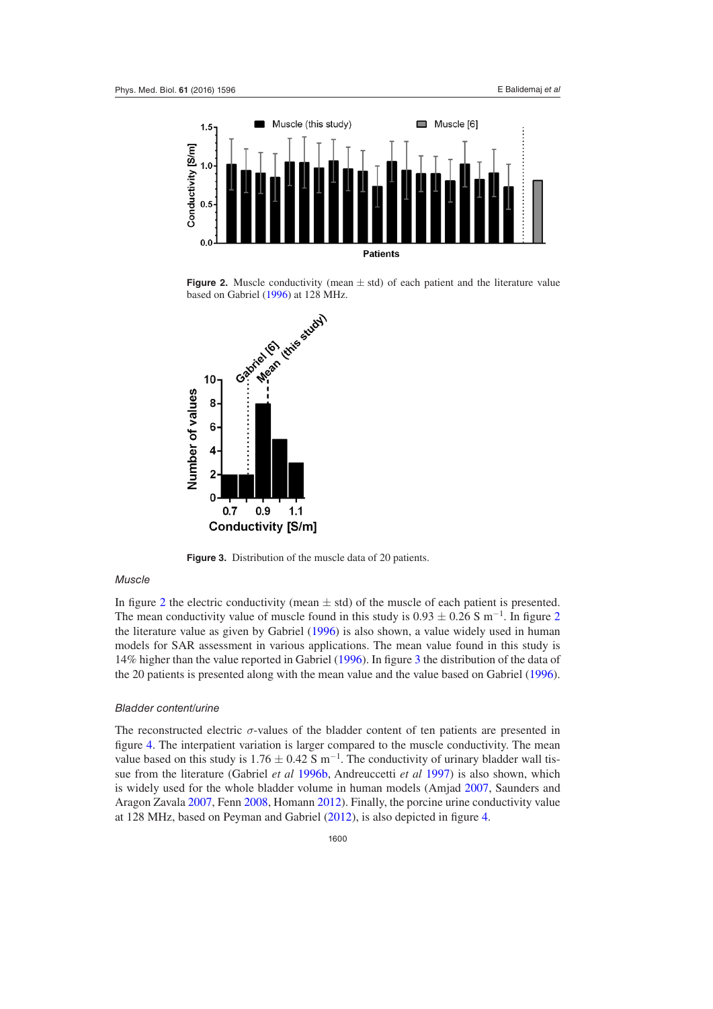<span id="page-4-0"></span>

**Figure 2.** Muscle conductivity (mean  $\pm$  std) of each patient and the literature value

<span id="page-4-1"></span>

**Figure 3.** Distribution of the muscle data of 20 patients.

## *Muscle*

In figure [2](#page-4-0) the electric conductivity (mean  $\pm$  std) of the muscle of each patient is presented. The mean conductivity value of muscle found in this study is  $0.93 \pm 0.26$  $0.93 \pm 0.26$  $0.93 \pm 0.26$  S m<sup>-1</sup>. In figure 2 the literature value as given by Gabriel [\(1996](#page-9-1)) is also shown, a value widely used in human models for SAR assessment in various applications. The mean value found in this study is 14% higher than the value reported in Gabriel [\(1996](#page-9-1)). In figure [3](#page-4-1) the distribution of the data of the 20 patients is presented along with the mean value and the value based on Gabriel [\(1996](#page-9-1)).

## *Bladder content/urine*

The reconstructed electric  $\sigma$ -values of the bladder content of ten patients are presented in figure [4](#page-5-0). The interpatient variation is larger compared to the muscle conductivity. The mean value based on this study is  $1.76 \pm 0.42$  S m<sup>-1</sup>. The conductivity of urinary bladder wall tissue from the literature (Gabriel *et al* [1996b,](#page-9-2) Andreuccetti *et al* [1997\)](#page-9-7) is also shown, which is widely used for the whole bladder volume in human models (Amjad [2007](#page-9-8), Saunders and Aragon Zavala [2007](#page-10-10), Fenn [2008,](#page-9-9) Homann [2012](#page-10-11)). Finally, the porcine urine conductivity value at 128 MHz, based on Peyman and Gabriel ([2012\)](#page-10-12), is also depicted in figure [4](#page-5-0).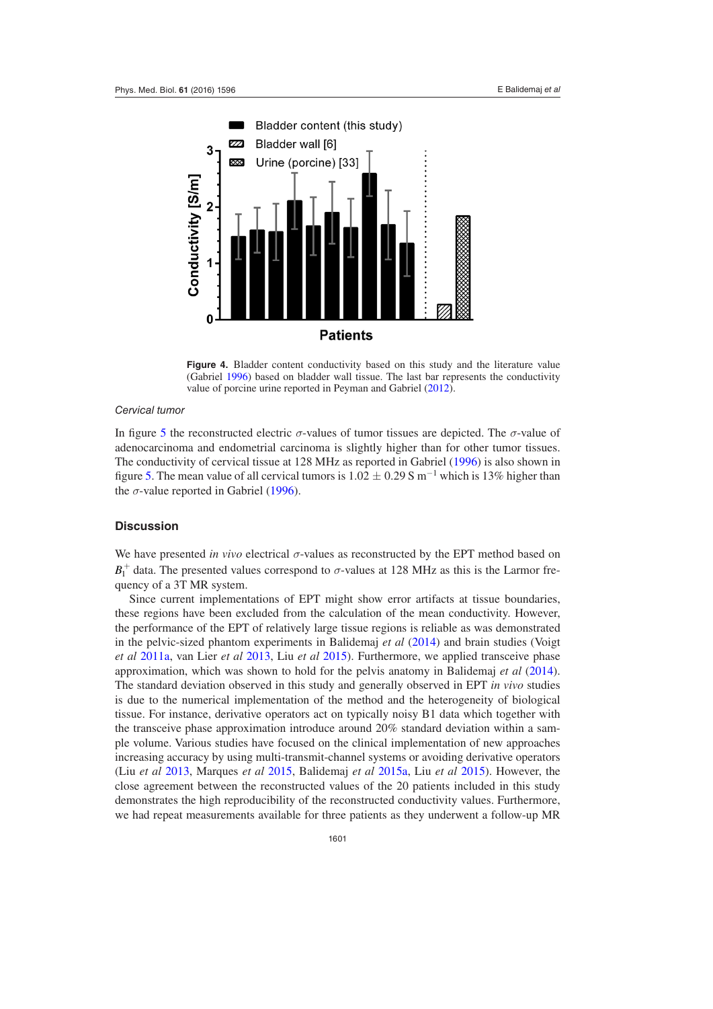<span id="page-5-0"></span>

**Figure 4.** Bladder content conductivity based on this study and the literature value (Gabriel [1996](#page-9-1)) based on bladder wall tissue. The last bar represents the conductivity value of porcine urine reported in Peyman and Gabriel [\(2012](#page-10-12)).

### *Cervical tumor*

In figure [5](#page-6-0) the reconstructed electric *σ*-values of tumor tissues are depicted. The *σ*-value of adenocarcinoma and endometrial carcinoma is slightly higher than for other tumor tissues. The conductivity of cervical tissue at 128 MHz as reported in Gabriel ([1996\)](#page-9-1) is also shown in figure [5](#page-6-0). The mean value of all cervical tumors is  $1.02 \pm 0.29$  S m<sup>-1</sup> which is 13% higher than the  $\sigma$ -value reported in Gabriel ([1996\)](#page-9-1).

## **Discussion**

We have presented *in vivo* electrical *σ*-values as reconstructed by the EPT method based on  $B_1^+$  data. The presented values correspond to  $\sigma$ -values at 128 MHz as this is the Larmor frequency of a 3T MR system.

Since current implementations of EPT might show error artifacts at tissue boundaries, these regions have been excluded from the calculation of the mean conductivity. However, the performance of the EPT of relatively large tissue regions is reliable as was demonstrated in the pelvic-sized phantom experiments in Balidemaj *et al* [\(2014](#page-9-4)) and brain studies (Voigt *et al* [2011a,](#page-11-2) van Lier *et al* [2013,](#page-11-1) Liu *et al* [2015\)](#page-10-4). Furthermore, we applied transceive phase approximation, which was shown to hold for the pelvis anatomy in Balidemaj *et al* [\(2014](#page-9-4)). The standard deviation observed in this study and generally observed in EPT *in vivo* studies is due to the numerical implementation of the method and the heterogeneity of biological tissue. For instance, derivative operators act on typically noisy B1 data which together with the transceive phase approximation introduce around 20% standard deviation within a sample volume. Various studies have focused on the clinical implementation of new approaches increasing accuracy by using multi-transmit-channel systems or avoiding derivative operators (Liu *et al* [2013](#page-10-1), Marques *et al* [2015](#page-10-13), Balidemaj *et al* [2015a](#page-9-6), Liu *et al* [2015](#page-10-4)). However, the close agreement between the reconstructed values of the 20 patients included in this study demonstrates the high reproducibility of the reconstructed conductivity values. Furthermore, we had repeat measurements available for three patients as they underwent a follow-up MR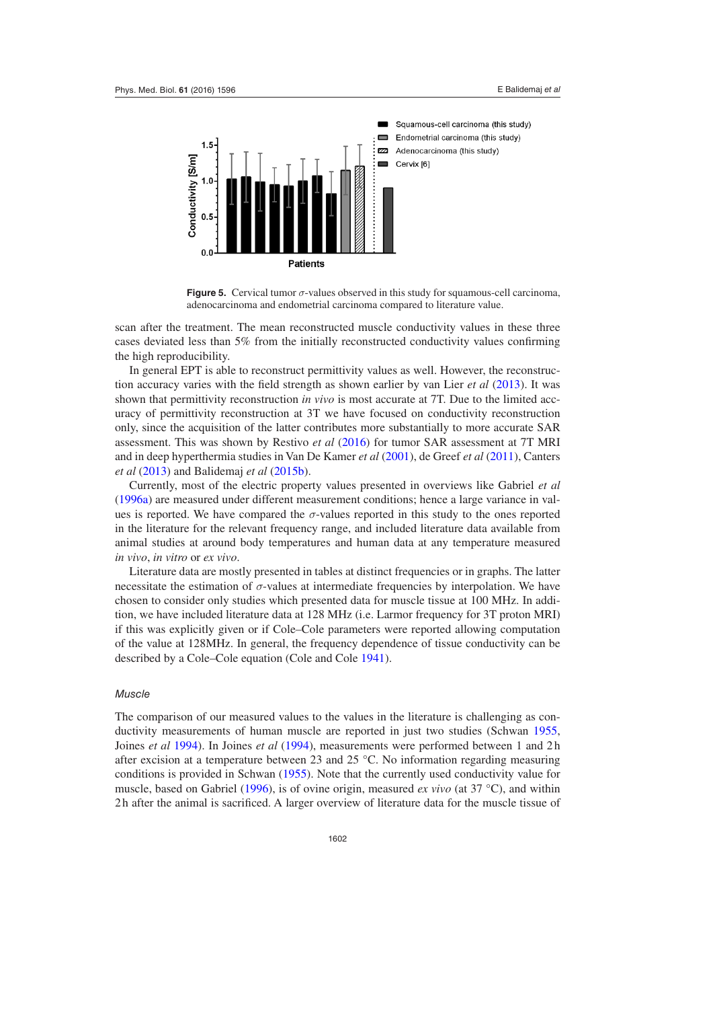<span id="page-6-0"></span>

**Figure 5.** Cervical tumor *σ*-values observed in this study for squamous-cell carcinoma, adenocarcinoma and endometrial carcinoma compared to literature value.

scan after the treatment. The mean reconstructed muscle conductivity values in these three cases deviated less than 5% from the initially reconstructed conductivity values confirming the high reproducibility.

In general EPT is able to reconstruct permittivity values as well. However, the reconstruction accuracy varies with the field strength as shown earlier by van Lier *et al* ([2013\)](#page-11-1). It was shown that permittivity reconstruction *in vivo* is most accurate at 7T. Due to the limited accuracy of permittivity reconstruction at 3T we have focused on conductivity reconstruction only, since the acquisition of the latter contributes more substantially to more accurate SAR assessment. This was shown by Restivo *et al* ([2016\)](#page-10-14) for tumor SAR assessment at 7T MRI and in deep hyperthermia studies in Van De Kamer *et al* [\(2001](#page-11-9)), de Greef *et al* [\(2011](#page-9-0)), Canters *et al* [\(2013](#page-9-10)) and Balidemaj *et al* [\(2015b](#page-9-11)).

Currently, most of the electric property values presented in overviews like Gabriel *et al* [\(1996a\)](#page-9-3) are measured under different measurement conditions; hence a large variance in values is reported. We have compared the  $\sigma$ -values reported in this study to the ones reported in the literature for the relevant frequency range, and included literature data available from animal studies at around body temperatures and human data at any temperature measured *in vivo*, *in vitro* or *ex vivo*.

Literature data are mostly presented in tables at distinct frequencies or in graphs. The latter necessitate the estimation of  $\sigma$ -values at intermediate frequencies by interpolation. We have chosen to consider only studies which presented data for muscle tissue at 100 MHz. In addition, we have included literature data at 128 MHz (i.e. Larmor frequency for 3T proton MRI) if this was explicitly given or if Cole–Cole parameters were reported allowing computation of the value at 128MHz. In general, the frequency dependence of tissue conductivity can be described by a Cole–Cole equation (Cole and Cole [1941\)](#page-9-12).

#### *Muscle*

The comparison of our measured values to the values in the literature is challenging as conductivity measurements of human muscle are reported in just two studies (Schwan [1955,](#page-10-15) Joines *et al* [1994](#page-10-16)). In Joines *et al* [\(1994](#page-10-16)), measurements were performed between 1 and 2 h after excision at a temperature between 23 and 25 °C. No information regarding measuring conditions is provided in Schwan [\(1955](#page-10-15)). Note that the currently used conductivity value for muscle, based on Gabriel [\(1996](#page-9-1)), is of ovine origin, measured *ex vivo* (at 37 °C), and within 2 h after the animal is sacrificed. A larger overview of literature data for the muscle tissue of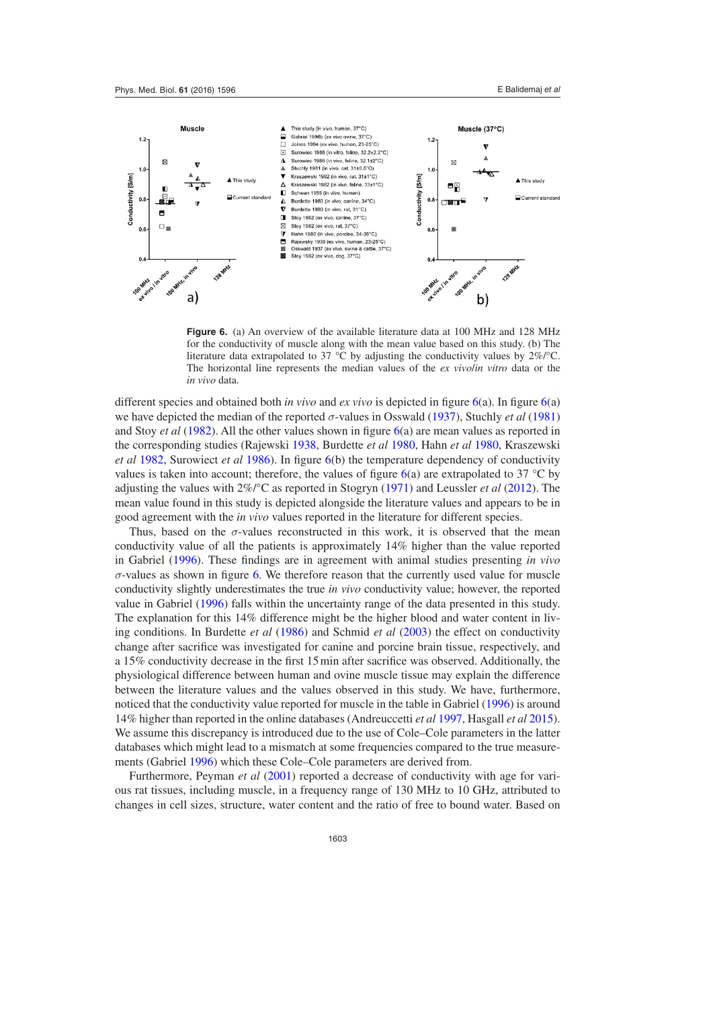<span id="page-7-0"></span>

**Figure 6.** (a) An overview of the available literature data at 100 MHz and 128 MHz for the conductivity of muscle along with the mean value based on this study. (b) The literature data extrapolated to 37 °C by adjusting the conductivity values by 2%/°C. The horizontal line represents the median values of the *ex vivo*/*in vitro* data or the *in vivo* data.

different species and obtained both *in vivo* and *ex vivo* is depicted in figure [6\(](#page-7-0)a). In figure [6\(](#page-7-0)a) we have depicted the median of the reported *σ*-values in Osswald ([1937\)](#page-10-17), Stuchly *et al* ([1981\)](#page-11-10) and Stoy *et al* ([1982\)](#page-10-18). All the other values shown in figure [6\(](#page-7-0)a) are mean values as reported in the corresponding studies (Rajewski [1938](#page-10-19), Burdette *et al* [1980,](#page-9-13) Hahn *et al* [1980](#page-9-14), Kraszewski *et al* [1982,](#page-10-20) Surowiect *et al* [1986\)](#page-11-11). In figure [6\(](#page-7-0)b) the temperature dependency of conductivity values is taken into account; therefore, the values of figure  $6(a)$  $6(a)$  are extrapolated to 37 °C by adjusting the values with 2%/°C as reported in Stogryn ([1971\)](#page-10-21) and Leussler *et al* [\(2012](#page-10-22)). The mean value found in this study is depicted alongside the literature values and appears to be in good agreement with the *in vivo* values reported in the literature for different species.

Thus, based on the  $\sigma$ -values reconstructed in this work, it is observed that the mean conductivity value of all the patients is approximately 14% higher than the value reported in Gabriel ([1996\)](#page-9-1). These findings are in agreement with animal studies presenting *in vivo σ*-values as shown in figure [6](#page-7-0). We therefore reason that the currently used value for muscle conductivity slightly underestimates the true *in vivo* conductivity value; however, the reported value in Gabriel [\(1996](#page-9-1)) falls within the uncertainty range of the data presented in this study. The explanation for this 14% difference might be the higher blood and water content in living conditions. In Burdette *et al* ([1986\)](#page-9-15) and Schmid *et al* [\(2003](#page-10-23)) the effect on conductivity change after sacrifice was investigated for canine and porcine brain tissue, respectively, and a 15% conductivity decrease in the first 15min after sacrifice was observed. Additionally, the physiological difference between human and ovine muscle tissue may explain the difference between the literature values and the values observed in this study. We have, furthermore, noticed that the conductivity value reported for muscle in the table in Gabriel ([1996\)](#page-9-1) is around 14% higher than reported in the online databases (Andreuccetti *et al* [1997](#page-9-7), Hasgall *et al* [2015](#page-9-16)). We assume this discrepancy is introduced due to the use of Cole–Cole parameters in the latter databases which might lead to a mismatch at some frequencies compared to the true measurements (Gabriel [1996](#page-9-1)) which these Cole–Cole parameters are derived from.

Furthermore, Peyman *et al* ([2001\)](#page-10-24) reported a decrease of conductivity with age for various rat tissues, including muscle, in a frequency range of 130 MHz to 10 GHz, attributed to changes in cell sizes, structure, water content and the ratio of free to bound water. Based on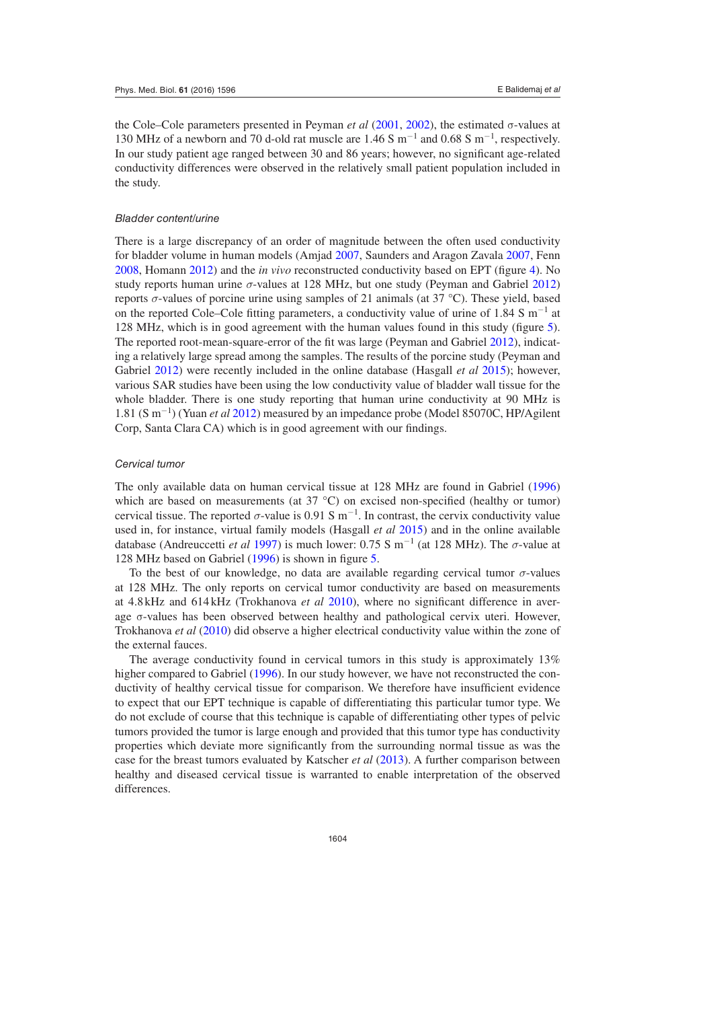the Cole–Cole parameters presented in Peyman *et al* ([2001,](#page-10-24) [2002](#page-10-25)), the estimated σ-values at 130 MHz of a newborn and 70 d-old rat muscle are 1.46 S m<sup>-1</sup> and 0.68 S m<sup>-1</sup>, respectively. In our study patient age ranged between 30 and 86 years; however, no significant age-related conductivity differences were observed in the relatively small patient population included in the study.

#### *Bladder content/urine*

There is a large discrepancy of an order of magnitude between the often used conductivity for bladder volume in human models (Amjad [2007](#page-9-8), Saunders and Aragon Zavala [2007,](#page-10-10) Fenn [2008](#page-9-9), Homann [2012](#page-10-11)) and the *in vivo* reconstructed conductivity based on EPT (figure [4](#page-5-0)). No study reports human urine *σ*-values at 128 MHz, but one study (Peyman and Gabriel [2012\)](#page-10-12) reports *σ*-values of porcine urine using samples of 21 animals (at 37 °C). These yield, based on the reported Cole–Cole fitting parameters, a conductivity value of urine of 1.84 S m<sup>-1</sup> at 128 MHz, which is in good agreement with the human values found in this study (figure [5](#page-6-0)). The reported root-mean-square-error of the fit was large (Peyman and Gabriel [2012](#page-10-12)), indicating a relatively large spread among the samples. The results of the porcine study (Peyman and Gabriel [2012](#page-10-12)) were recently included in the online database (Hasgall *et al* [2015\)](#page-9-16); however, various SAR studies have been using the low conductivity value of bladder wall tissue for the whole bladder. There is one study reporting that human urine conductivity at 90 MHz is 1.81 (S m−<sup>1</sup> ) (Yuan *et al* [2012](#page-11-12)) measured by an impedance probe (Model 85070C, HP/Agilent Corp, Santa Clara CA) which is in good agreement with our findings.

#### *Cervical tumor*

The only available data on human cervical tissue at 128 MHz are found in Gabriel ([1996\)](#page-9-1) which are based on measurements (at 37 °C) on excised non-specified (healthy or tumor) cervical tissue. The reported  $\sigma$ -value is 0.91 S m<sup>-1</sup>. In contrast, the cervix conductivity value used in, for instance, virtual family models (Hasgall *et al* [2015\)](#page-9-16) and in the online available database (Andreuccetti *et al* [1997\)](#page-9-7) is much lower: 0.75 S m−<sup>1</sup> (at 128 MHz). The *σ*-value at 128 MHz based on Gabriel [\(1996](#page-9-1)) is shown in figure [5.](#page-6-0)

To the best of our knowledge, no data are available regarding cervical tumor  $\sigma$ -values at 128 MHz. The only reports on cervical tumor conductivity are based on measurements at 4.8 kHz and 614 kHz (Trokhanova *et al* [2010](#page-11-13)), where no significant difference in average σ-values has been observed between healthy and pathological cervix uteri. However, Trokhanova *et al* ([2010\)](#page-11-13) did observe a higher electrical conductivity value within the zone of the external fauces.

The average conductivity found in cervical tumors in this study is approximately 13% higher compared to Gabriel ([1996\)](#page-9-1). In our study however, we have not reconstructed the conductivity of healthy cervical tissue for comparison. We therefore have insufficient evidence to expect that our EPT technique is capable of differentiating this particular tumor type. We do not exclude of course that this technique is capable of differentiating other types of pelvic tumors provided the tumor is large enough and provided that this tumor type has conductivity properties which deviate more significantly from the surrounding normal tissue as was the case for the breast tumors evaluated by Katscher *et al* [\(2013](#page-10-7)). A further comparison between healthy and diseased cervical tissue is warranted to enable interpretation of the observed differences.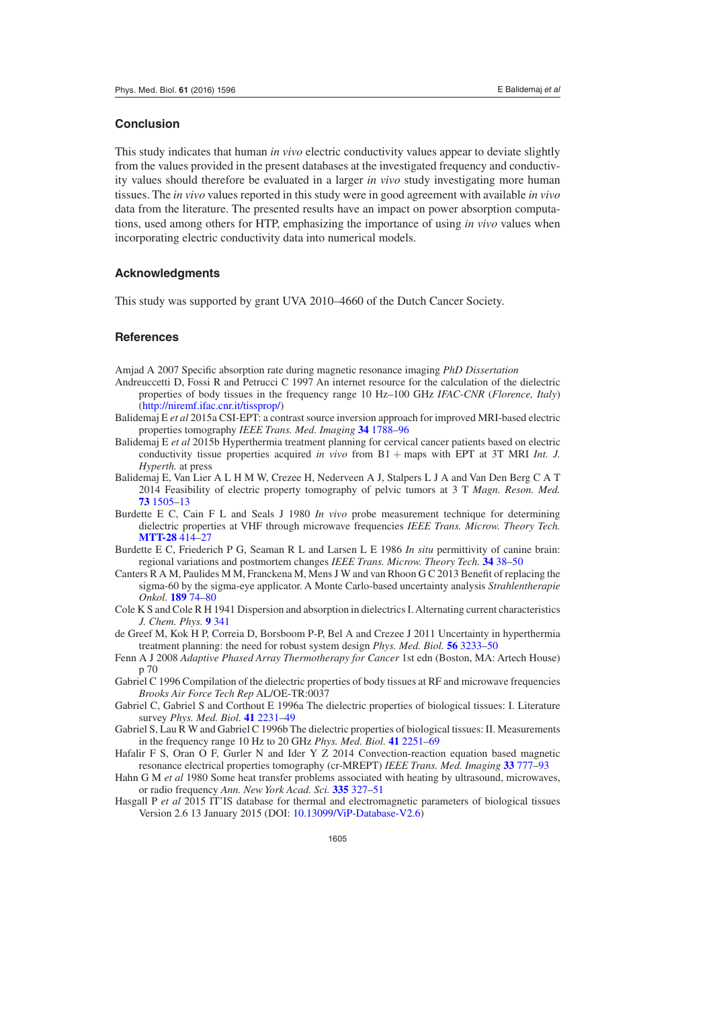#### **Conclusion**

This study indicates that human *in vivo* electric conductivity values appear to deviate slightly from the values provided in the present databases at the investigated frequency and conductivity values should therefore be evaluated in a larger *in vivo* study investigating more human tissues. The *in vivo* values reported in this study were in good agreement with available *in vivo* data from the literature. The presented results have an impact on power absorption computations, used among others for HTP, emphasizing the importance of using *in vivo* values when incorporating electric conductivity data into numerical models.

## **Acknowledgments**

This study was supported by grant UVA 2010–4660 of the Dutch Cancer Society.

## **References**

<span id="page-9-8"></span>Amjad A 2007 Specific absorption rate during magnetic resonance imaging *PhD Dissertation*

- <span id="page-9-7"></span>Andreuccetti D, Fossi R and Petrucci C 1997 An internet resource for the calculation of the dielectric properties of body tissues in the frequency range 10 Hz–100 GHz *IFAC-CNR* (*Florence, Italy*) (<http://niremf.ifac.cnr.it/tissprop/>)
- <span id="page-9-6"></span>Balidemaj E *et al* 2015a CSI-EPT: a contrast source inversion approach for improved MRI-based electric properties tomography *IEEE Trans. Med. Imaging* **[34](http://dx.doi.org/10.1109/TMI.2015.2404944)** [1788](http://dx.doi.org/10.1109/TMI.2015.2404944)–[96](http://dx.doi.org/10.1109/TMI.2015.2404944)
- <span id="page-9-11"></span>Balidemaj E *et al* 2015b Hyperthermia treatment planning for cervical cancer patients based on electric conductivity tissue properties acquired *in vivo* from B1 + maps with EPT at 3T MRI *Int. J. Hyperth.* at press
- <span id="page-9-4"></span>Balidemaj E, Van Lier A L H M W, Crezee H, Nederveen A J, Stalpers L J A and Van Den Berg C A T 2014 Feasibility of electric property tomography of pelvic tumors at 3 T *Magn. Reson. Med.* **[73](http://dx.doi.org/10.1002/mrm.25276)** [1505](http://dx.doi.org/10.1002/mrm.25276)–[13](http://dx.doi.org/10.1002/mrm.25276)
- <span id="page-9-13"></span>Burdette E C, Cain F L and Seals J 1980 *In vivo* probe measurement technique for determining dielectric properties at VHF through microwave frequencies *IEEE Trans. Microw. Theory Tech.* **[MTT-28](http://dx.doi.org/10.1109/TMTT.1980.1130087)** [414](http://dx.doi.org/10.1109/TMTT.1980.1130087)–[27](http://dx.doi.org/10.1109/TMTT.1980.1130087)
- <span id="page-9-15"></span>Burdette E C, Friederich P G, Seaman R L and Larsen L E 1986 *In situ* permittivity of canine brain: regional variations and postmortem changes *IEEE Trans. Microw. Theory Tech.* **[34](http://dx.doi.org/10.1109/TMTT.1986.1133278)** [38](http://dx.doi.org/10.1109/TMTT.1986.1133278)–[50](http://dx.doi.org/10.1109/TMTT.1986.1133278)
- <span id="page-9-10"></span>Canters R A M, Paulides M M, Franckena M, Mens J W and van Rhoon G C 2013 Benefit of replacing the sigma-60 by the sigma-eye applicator. A Monte Carlo-based uncertainty analysis *Strahlentherapie Onkol.* **[189](http://dx.doi.org/10.1007/s00066-012-0241-x)** [74](http://dx.doi.org/10.1007/s00066-012-0241-x)–[80](http://dx.doi.org/10.1007/s00066-012-0241-x)
- <span id="page-9-12"></span>Cole K S and Cole R H 1941 Dispersion and absorption in dielectrics I. Alternating current characteristics *J. Chem. Phys.* **[9](http://dx.doi.org/10.1063/1.1750906)** [341](http://dx.doi.org/10.1063/1.1750906)
- <span id="page-9-0"></span>de Greef M, Kok H P, Correia D, Borsboom P-P, Bel A and Crezee J 2011 Uncertainty in hyperthermia treatment planning: the need for robust system design *Phys. Med. Biol.* **[56](http://dx.doi.org/10.1088/0031-9155/56/11/005)** [3233](http://dx.doi.org/10.1088/0031-9155/56/11/005)–[50](http://dx.doi.org/10.1088/0031-9155/56/11/005)
- <span id="page-9-9"></span>Fenn A J 2008 *Adaptive Phased Array Thermotherapy for Cancer* 1st edn (Boston, MA: Artech House) p 70
- <span id="page-9-1"></span>Gabriel C 1996 Compilation of the dielectric properties of body tissues at RF and microwave frequencies *Brooks Air Force Tech Rep* AL/OE-TR:0037
- <span id="page-9-3"></span>Gabriel C, Gabriel S and Corthout E 1996a The dielectric properties of biological tissues: I. Literature survey *Phys. Med. Biol.* **[41](http://dx.doi.org/10.1088/0031-9155/41/11/001)** [2231](http://dx.doi.org/10.1088/0031-9155/41/11/001)–[49](http://dx.doi.org/10.1088/0031-9155/41/11/001)
- <span id="page-9-2"></span>Gabriel S, Lau R W and Gabriel C 1996b The dielectric properties of biological tissues: II. Measurements in the frequency range 10 Hz to 20 GHz *Phys. Med. Biol.* **[41](http://dx.doi.org/10.1088/0031-9155/41/11/002)** [2251](http://dx.doi.org/10.1088/0031-9155/41/11/002)–[69](http://dx.doi.org/10.1088/0031-9155/41/11/002)
- <span id="page-9-5"></span>Hafalir F S, Oran O F, Gurler N and Ider Y Z 2014 Convection-reaction equation based magnetic resonance electrical properties tomography (cr-MREPT) *IEEE Trans. Med. Imaging* **[33](http://dx.doi.org/10.1109/TMI.2013.2296715)** [777](http://dx.doi.org/10.1109/TMI.2013.2296715)–[93](http://dx.doi.org/10.1109/TMI.2013.2296715)
- <span id="page-9-14"></span>Hahn G M *et al* 1980 Some heat transfer problems associated with heating by ultrasound, microwaves, or radio frequency *Ann. New York Acad. Sci.* **[335](http://dx.doi.org/10.1111/j.1749-6632.1980.tb50757.x)** [327](http://dx.doi.org/10.1111/j.1749-6632.1980.tb50757.x)–[51](http://dx.doi.org/10.1111/j.1749-6632.1980.tb50757.x)
- <span id="page-9-16"></span>Hasgall P *et al* 2015 IT'IS database for thermal and electromagnetic parameters of biological tissues Version 2.6 13 January 2015 (DOI: [10.13099/ViP-Database-V2.6](http://dx.doi.org/10.13099/ViP-Database-V2.6))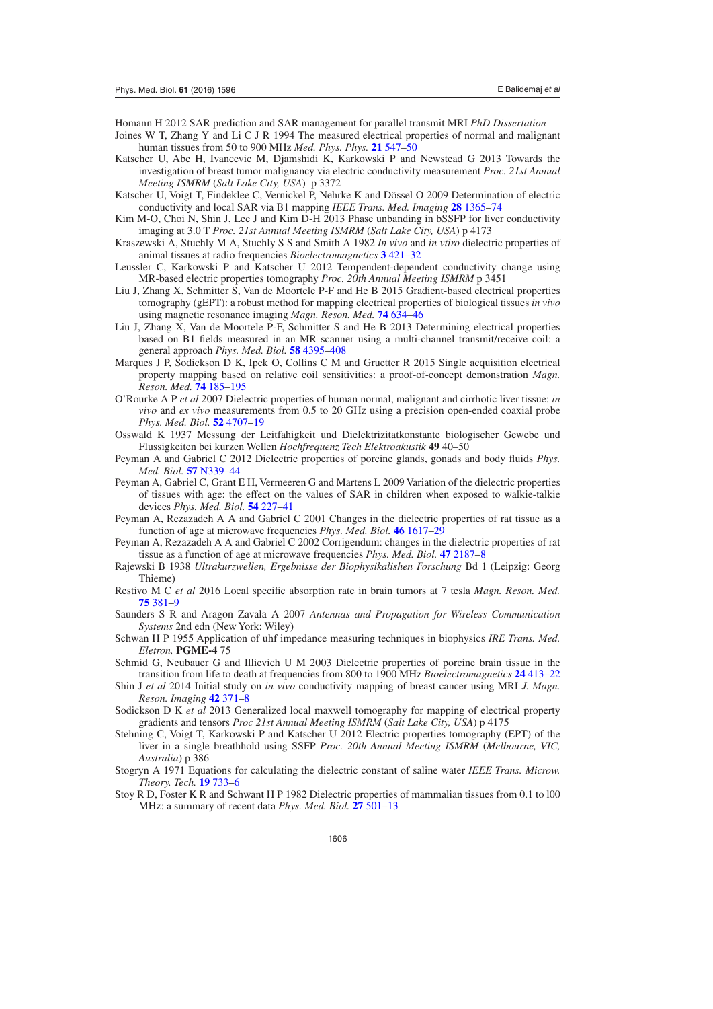<span id="page-10-11"></span>Homann H 2012 SAR prediction and SAR management for parallel transmit MRI *PhD Dissertation*

- <span id="page-10-16"></span>Joines W T, Zhang Y and Li C J R 1994 The measured electrical properties of normal and malignant human tissues from 50 to 900 MHz *Med. Phys. Phys.* **[21](http://dx.doi.org/10.1118/1.597312)** [547](http://dx.doi.org/10.1118/1.597312)–[50](http://dx.doi.org/10.1118/1.597312)
- <span id="page-10-7"></span>Katscher U, Abe H, Ivancevic M, Djamshidi K, Karkowski P and Newstead G 2013 Towards the investigation of breast tumor malignancy via electric conductivity measurement *Proc. 21st Annual Meeting ISMRM* (*Salt Lake City, USA*) p 3372
- <span id="page-10-0"></span>Katscher U, Voigt T, Findeklee C, Vernickel P, Nehrke K and Dössel O 2009 Determination of electric conductivity and local SAR via B1 mapping *IEEE Trans. Med. Imaging* **[28](http://dx.doi.org/10.1109/TMI.2009.2015757)** [1365](http://dx.doi.org/10.1109/TMI.2009.2015757)–[74](http://dx.doi.org/10.1109/TMI.2009.2015757)
- <span id="page-10-6"></span>Kim M-O, Choi N, Shin J, Lee J and Kim D-H 2013 Phase unbanding in bSSFP for liver conductivity imaging at 3.0 T *Proc. 21st Annual Meeting ISMRM* (*Salt Lake City, USA*) p 4173
- <span id="page-10-20"></span>Kraszewski A, Stuchly M A, Stuchly S S and Smith A 1982 *In vivo* and *in vtiro* dielectric properties of animal tissues at radio frequencies *Bioelectromagnetics* **[3](http://dx.doi.org/10.1002/bem.2250030405)** [421](http://dx.doi.org/10.1002/bem.2250030405)–[32](http://dx.doi.org/10.1002/bem.2250030405)
- <span id="page-10-22"></span>Leussler C, Karkowski P and Katscher U 2012 Tempendent-dependent conductivity change using MR-based electric properties tomography *Proc. 20th Annual Meeting ISMRM* p 3451
- <span id="page-10-4"></span>Liu J, Zhang X, Schmitter S, Van de Moortele P-F and He B 2015 Gradient-based electrical properties tomography (gEPT): a robust method for mapping electrical properties of biological tissues *in vivo* using magnetic resonance imaging *Magn. Reson. Med.* **[74](http://dx.doi.org/10.1002/mrm.25434)** [634](http://dx.doi.org/10.1002/mrm.25434)–[46](http://dx.doi.org/10.1002/mrm.25434)
- <span id="page-10-1"></span>Liu J, Zhang X, Van de Moortele P-F, Schmitter S and He B 2013 Determining electrical properties based on B1 fields measured in an MR scanner using a multi-channel transmit/receive coil: a general approach *Phys. Med. Biol.* **[58](http://dx.doi.org/10.1088/0031-9155/58/13/4395)** [4395](http://dx.doi.org/10.1088/0031-9155/58/13/4395)–[408](http://dx.doi.org/10.1088/0031-9155/58/13/4395)
- <span id="page-10-13"></span>Marques J P, Sodickson D K, Ipek O, Collins C M and Gruetter R 2015 Single acquisition electrical property mapping based on relative coil sensitivities: a proof-of-concept demonstration *Magn. Reson. Med.* **[74](http://dx.doi.org/10.1002/mrm.25399)** [185](http://dx.doi.org/10.1002/mrm.25399)–[195](http://dx.doi.org/10.1002/mrm.25399)
- <span id="page-10-3"></span>O'Rourke A P *et al* 2007 Dielectric properties of human normal, malignant and cirrhotic liver tissue: *in vivo* and *ex vivo* measurements from 0.5 to 20 GHz using a precision open-ended coaxial probe *Phys. Med. Biol.* **[52](http://dx.doi.org/10.1088/0031-9155/52/15/022)** [4707](http://dx.doi.org/10.1088/0031-9155/52/15/022)–[19](http://dx.doi.org/10.1088/0031-9155/52/15/022)
- <span id="page-10-17"></span>Osswald K 1937 Messung der Leitfahigkeit und Dielektrizitatkonstante biologischer Gewebe und Flussigkeiten bei kurzen Wellen *Hochfrequenz Tech Elektroakustik* **49** 40–50
- <span id="page-10-12"></span>Peyman A and Gabriel C 2012 Dielectric properties of porcine glands, gonads and body fluids *Phys. Med. Biol.* **[57](http://dx.doi.org/10.1088/0031-9155/57/19/N339)** [N339](http://dx.doi.org/10.1088/0031-9155/57/19/N339)–[44](http://dx.doi.org/10.1088/0031-9155/57/19/N339)
- <span id="page-10-2"></span>Peyman A, Gabriel C, Grant E H, Vermeeren G and Martens L 2009 Variation of the dielectric properties of tissues with age: the effect on the values of SAR in children when exposed to walkie-talkie devices *Phys. Med. Biol.* **[54](http://dx.doi.org/10.1088/0031-9155/54/2/004)** [227](http://dx.doi.org/10.1088/0031-9155/54/2/004)–[41](http://dx.doi.org/10.1088/0031-9155/54/2/004)
- <span id="page-10-24"></span>Peyman A, Rezazadeh A A and Gabriel C 2001 Changes in the dielectric properties of rat tissue as a function of age at microwave frequencies *Phys. Med. Biol.* **[46](http://dx.doi.org/10.1088/0031-9155/46/6/303)** [1617](http://dx.doi.org/10.1088/0031-9155/46/6/303)–[29](http://dx.doi.org/10.1088/0031-9155/46/6/303)
- <span id="page-10-25"></span>Peyman A, Rezazadeh A A and Gabriel C 2002 Corrigendum: changes in the dielectric properties of rat tissue as a function of age at microwave frequencies *Phys. Med. Biol.* **[47](http://dx.doi.org/10.1088/0031-9155/47/12/501)** [2187](http://dx.doi.org/10.1088/0031-9155/47/12/501)–[8](http://dx.doi.org/10.1088/0031-9155/47/12/501)
- <span id="page-10-19"></span>Rajewski B 1938 *Ultrakurzwellen, Ergebnisse der Biophysikalishen Forschung* Bd 1 (Leipzig: Georg Thieme)
- <span id="page-10-14"></span>Restivo M C *et al* 2016 Local specific absorption rate in brain tumors at 7 tesla *Magn. Reson. Med.* **[75](http://dx.doi.org/10.1002/mrm.25653)** [381–9](http://dx.doi.org/10.1002/mrm.25653)
- <span id="page-10-10"></span>Saunders S R and Aragon Zavala A 2007 *Antennas and Propagation for Wireless Communication Systems* 2nd edn (New York: Wiley)
- <span id="page-10-15"></span>Schwan H P 1955 Application of uhf impedance measuring techniques in biophysics *IRE Trans. Med. Eletron.* **PGME-4** 75
- <span id="page-10-23"></span>Schmid G, Neubauer G and Illievich U M 2003 Dielectric properties of porcine brain tissue in the transition from life to death at frequencies from 800 to 1900 MHz *Bioelectromagnetics* **[24](http://dx.doi.org/10.1002/bem.10122)** [413](http://dx.doi.org/10.1002/bem.10122)–[22](http://dx.doi.org/10.1002/bem.10122)
- <span id="page-10-8"></span>Shin J *et al* 2014 Initial study on *in vivo* conductivity mapping of breast cancer using MRI *J. Magn. Reson. Imaging* **[42](http://dx.doi.org/10.1002/jmri.24803)** [371](http://dx.doi.org/10.1002/jmri.24803)–[8](http://dx.doi.org/10.1002/jmri.24803)
- <span id="page-10-9"></span>Sodickson D K *et al* 2013 Generalized local maxwell tomography for mapping of electrical property gradients and tensors *Proc 21st Annual Meeting ISMRM* (*Salt Lake City, USA*) p 4175
- <span id="page-10-5"></span>Stehning C, Voigt T, Karkowski P and Katscher U 2012 Electric properties tomography (EPT) of the liver in a single breathhold using SSFP *Proc. 20th Annual Meeting ISMRM* (*Melbourne, VIC, Australia*) p 386
- <span id="page-10-21"></span>Stogryn A 1971 Equations for calculating the dielectric constant of saline water *IEEE Trans. Microw. Theory. Tech.* **[19](http://dx.doi.org/10.1109/TMTT.1971.1127617)** [733](http://dx.doi.org/10.1109/TMTT.1971.1127617)–[6](http://dx.doi.org/10.1109/TMTT.1971.1127617)
- <span id="page-10-18"></span>Stoy R D, Foster K R and Schwant H P 1982 Dielectric properties of mammalian tissues from 0.1 to l00 MHz: a summary of recent data *Phys. Med. Biol.* **[27](http://dx.doi.org/10.1088/0031-9155/27/4/002)** [501](http://dx.doi.org/10.1088/0031-9155/27/4/002)–[13](http://dx.doi.org/10.1088/0031-9155/27/4/002)